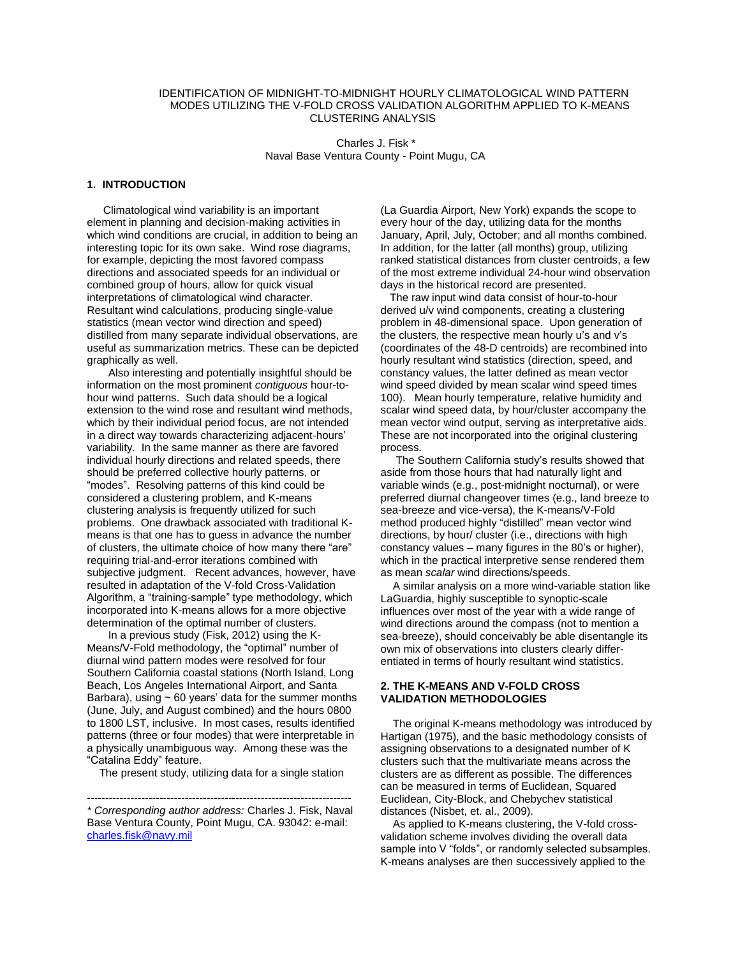# IDENTIFICATION OF MIDNIGHT-TO-MIDNIGHT HOURLY CLIMATOLOGICAL WIND PATTERN MODES UTILIZING THE V-FOLD CROSS VALIDATION ALGORITHM APPLIED TO K-MEANS CLUSTERING ANALYSIS

 Charles J. Fisk \* Naval Base Ventura County - Point Mugu, CA

#### **1. INTRODUCTION**

 Climatological wind variability is an important element in planning and decision-making activities in which wind conditions are crucial, in addition to being an interesting topic for its own sake. Wind rose diagrams, for example, depicting the most favored compass directions and associated speeds for an individual or combined group of hours, allow for quick visual interpretations of climatological wind character. Resultant wind calculations, producing single-value statistics (mean vector wind direction and speed) distilled from many separate individual observations, are useful as summarization metrics. These can be depicted graphically as well.

 Also interesting and potentially insightful should be information on the most prominent *contiguous* hour-tohour wind patterns. Such data should be a logical extension to the wind rose and resultant wind methods, which by their individual period focus, are not intended in a direct way towards characterizing adjacent-hours' variability. In the same manner as there are favored individual hourly directions and related speeds, there should be preferred collective hourly patterns, or "modes". Resolving patterns of this kind could be considered a clustering problem, and K-means clustering analysis is frequently utilized for such problems. One drawback associated with traditional Kmeans is that one has to guess in advance the number of clusters, the ultimate choice of how many there "are" requiring trial-and-error iterations combined with subjective judgment. Recent advances, however, have resulted in adaptation of the V-fold Cross-Validation Algorithm, a "training-sample" type methodology, which incorporated into K-means allows for a more objective determination of the optimal number of clusters.

 In a previous study (Fisk, 2012) using the K-Means/V-Fold methodology, the "optimal" number of diurnal wind pattern modes were resolved for four Southern California coastal stations (North Island, Long Beach, Los Angeles International Airport, and Santa Barbara), using  $\sim$  60 years' data for the summer months (June, July, and August combined) and the hours 0800 to 1800 LST, inclusive. In most cases, results identified patterns (three or four modes) that were interpretable in a physically unambiguous way. Among these was the "Catalina Eddy" feature.

The present study, utilizing data for a single station

(La Guardia Airport, New York) expands the scope to every hour of the day, utilizing data for the months January, April, July, October; and all months combined. In addition, for the latter (all months) group, utilizing ranked statistical distances from cluster centroids, a few of the most extreme individual 24-hour wind observation days in the historical record are presented.

 The raw input wind data consist of hour-to-hour derived u/v wind components, creating a clustering problem in 48-dimensional space. Upon generation of the clusters, the respective mean hourly u's and v's (coordinates of the 48-D centroids) are recombined into hourly resultant wind statistics (direction, speed, and constancy values, the latter defined as mean vector wind speed divided by mean scalar wind speed times 100). Mean hourly temperature, relative humidity and scalar wind speed data, by hour/cluster accompany the mean vector wind output, serving as interpretative aids. These are not incorporated into the original clustering process.

 The Southern California study's results showed that aside from those hours that had naturally light and variable winds (e.g., post-midnight nocturnal), or were preferred diurnal changeover times (e.g., land breeze to sea-breeze and vice-versa), the K-means/V-Fold method produced highly "distilled" mean vector wind directions, by hour/ cluster (i.e., directions with high constancy values – many figures in the 80's or higher), which in the practical interpretive sense rendered them as mean *scalar* wind directions/speeds.

 A similar analysis on a more wind-variable station like LaGuardia, highly susceptible to synoptic-scale influences over most of the year with a wide range of wind directions around the compass (not to mention a sea-breeze), should conceivably be able disentangle its own mix of observations into clusters clearly differentiated in terms of hourly resultant wind statistics.

# **2. THE K-MEANS AND V-FOLD CROSS VALIDATION METHODOLOGIES**

 The original K-means methodology was introduced by Hartigan (1975), and the basic methodology consists of assigning observations to a designated number of K clusters such that the multivariate means across the clusters are as different as possible. The differences can be measured in terms of Euclidean, Squared Euclidean, City-Block, and Chebychev statistical distances (Nisbet, et. al., 2009).

 As applied to K-means clustering, the V-fold crossvalidation scheme involves dividing the overall data sample into V "folds", or randomly selected subsamples. K-means analyses are then successively applied to the

<sup>-------------------------------------------------------------------------</sup>  *\* Corresponding author address:* Charles J. Fisk, Naval Base Ventura County, Point Mugu, CA. 93042: e-mail: [charles.fisk@navy.mil](mailto:charles.fisk@navy.mil)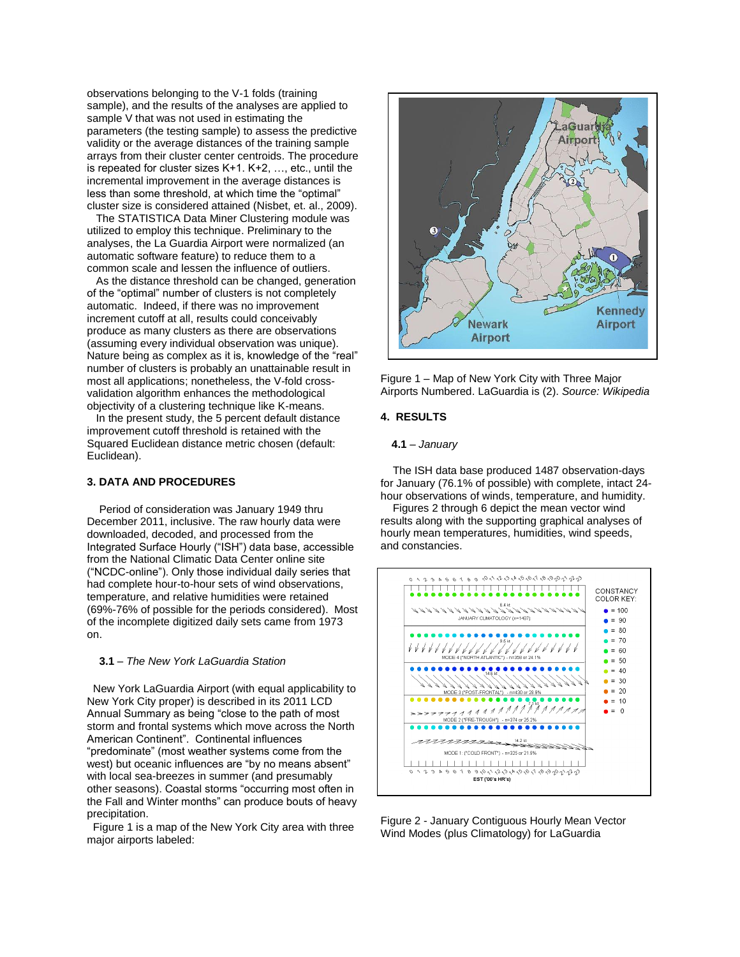observations belonging to the V-1 folds (training sample), and the results of the analyses are applied to sample V that was not used in estimating the parameters (the testing sample) to assess the predictive validity or the average distances of the training sample arrays from their cluster center centroids. The procedure is repeated for cluster sizes K+1. K+2, …, etc., until the incremental improvement in the average distances is less than some threshold, at which time the "optimal" cluster size is considered attained (Nisbet, et. al., 2009).

 The STATISTICA Data Miner Clustering module was utilized to employ this technique. Preliminary to the analyses, the La Guardia Airport were normalized (an automatic software feature) to reduce them to a common scale and lessen the influence of outliers.

 As the distance threshold can be changed, generation of the "optimal" number of clusters is not completely automatic. Indeed, if there was no improvement increment cutoff at all, results could conceivably produce as many clusters as there are observations (assuming every individual observation was unique). Nature being as complex as it is, knowledge of the "real" number of clusters is probably an unattainable result in most all applications; nonetheless, the V-fold crossvalidation algorithm enhances the methodological objectivity of a clustering technique like K-means.

 In the present study, the 5 percent default distance improvement cutoff threshold is retained with the Squared Euclidean distance metric chosen (default: Euclidean).

### **3. DATA AND PROCEDURES**

 Period of consideration was January 1949 thru December 2011, inclusive. The raw hourly data were downloaded, decoded, and processed from the Integrated Surface Hourly ("ISH") data base, accessible from the National Climatic Data Center online site ("NCDC-online"). Only those individual daily series that had complete hour-to-hour sets of wind observations, temperature, and relative humidities were retained (69%-76% of possible for the periods considered). Most of the incomplete digitized daily sets came from 1973 on.

### **3.1** – *The New York LaGuardia Station*

 New York LaGuardia Airport (with equal applicability to New York City proper) is described in its 2011 LCD Annual Summary as being "close to the path of most storm and frontal systems which move across the North American Continent". Continental influences "predominate" (most weather systems come from the west) but oceanic influences are "by no means absent" with local sea-breezes in summer (and presumably other seasons). Coastal storms "occurring most often in the Fall and Winter months" can produce bouts of heavy precipitation.

 Figure 1 is a map of the New York City area with three major airports labeled:



Figure 1 – Map of New York City with Three Major Airports Numbered. LaGuardia is (2). *Source: Wikipedia* 

## **4. RESULTS**

# **4.1** – *January*

 The ISH data base produced 1487 observation-days for January (76.1% of possible) with complete, intact 24 hour observations of winds, temperature, and humidity.

 Figures 2 through 6 depict the mean vector wind results along with the supporting graphical analyses of hourly mean temperatures, humidities, wind speeds, and constancies.



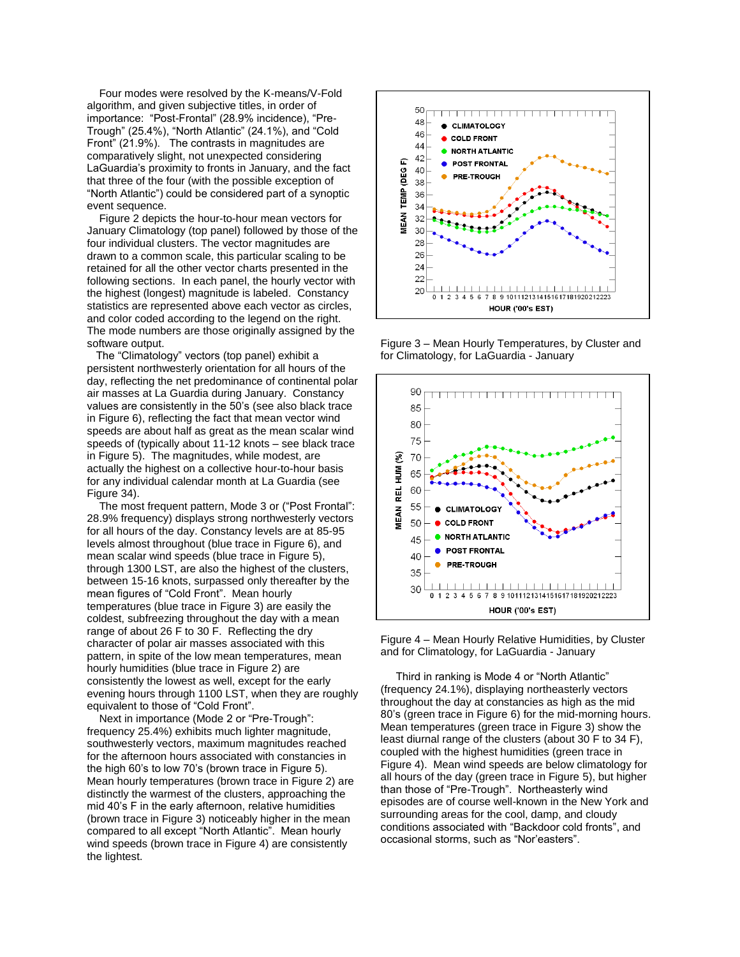Four modes were resolved by the K-means/V-Fold algorithm, and given subjective titles, in order of importance: "Post-Frontal" (28.9% incidence), "Pre-Trough" (25.4%), "North Atlantic" (24.1%), and "Cold Front" (21.9%). The contrasts in magnitudes are comparatively slight, not unexpected considering LaGuardia's proximity to fronts in January, and the fact that three of the four (with the possible exception of "North Atlantic") could be considered part of a synoptic event sequence.

 Figure 2 depicts the hour-to-hour mean vectors for January Climatology (top panel) followed by those of the four individual clusters. The vector magnitudes are drawn to a common scale, this particular scaling to be retained for all the other vector charts presented in the following sections. In each panel, the hourly vector with the highest (longest) magnitude is labeled. Constancy statistics are represented above each vector as circles, and color coded according to the legend on the right. The mode numbers are those originally assigned by the software output.

 The "Climatology" vectors (top panel) exhibit a persistent northwesterly orientation for all hours of the day, reflecting the net predominance of continental polar air masses at La Guardia during January. Constancy values are consistently in the 50's (see also black trace in Figure 6), reflecting the fact that mean vector wind speeds are about half as great as the mean scalar wind speeds of (typically about 11-12 knots – see black trace in Figure 5). The magnitudes, while modest, are actually the highest on a collective hour-to-hour basis for any individual calendar month at La Guardia (see Figure 34).

The most frequent pattern, Mode 3 or ("Post Frontal": 28.9% frequency) displays strong northwesterly vectors for all hours of the day. Constancy levels are at 85-95 levels almost throughout (blue trace in Figure 6), and mean scalar wind speeds (blue trace in Figure 5), through 1300 LST, are also the highest of the clusters, between 15-16 knots, surpassed only thereafter by the mean figures of "Cold Front". Mean hourly temperatures (blue trace in Figure 3) are easily the coldest, subfreezing throughout the day with a mean range of about 26 F to 30 F. Reflecting the dry character of polar air masses associated with this pattern, in spite of the low mean temperatures, mean hourly humidities (blue trace in Figure 2) are consistently the lowest as well, except for the early evening hours through 1100 LST, when they are roughly equivalent to those of "Cold Front".

 Next in importance (Mode 2 or "Pre-Trough": frequency 25.4%) exhibits much lighter magnitude, southwesterly vectors, maximum magnitudes reached for the afternoon hours associated with constancies in the high 60's to low 70's (brown trace in Figure 5). Mean hourly temperatures (brown trace in Figure 2) are distinctly the warmest of the clusters, approaching the mid 40's F in the early afternoon, relative humidities (brown trace in Figure 3) noticeably higher in the mean compared to all except "North Atlantic". Mean hourly wind speeds (brown trace in Figure 4) are consistently the lightest.



Figure 3 – Mean Hourly Temperatures, by Cluster and for Climatology, for LaGuardia - January



Figure 4 – Mean Hourly Relative Humidities, by Cluster and for Climatology, for LaGuardia - January

 Third in ranking is Mode 4 or "North Atlantic" (frequency 24.1%), displaying northeasterly vectors throughout the day at constancies as high as the mid 80's (green trace in Figure 6) for the mid-morning hours. Mean temperatures (green trace in Figure 3) show the least diurnal range of the clusters (about 30 F to 34 F), coupled with the highest humidities (green trace in Figure 4). Mean wind speeds are below climatology for all hours of the day (green trace in Figure 5), but higher than those of "Pre-Trough". Northeasterly wind episodes are of course well-known in the New York and surrounding areas for the cool, damp, and cloudy conditions associated with "Backdoor cold fronts", and occasional storms, such as "Nor'easters".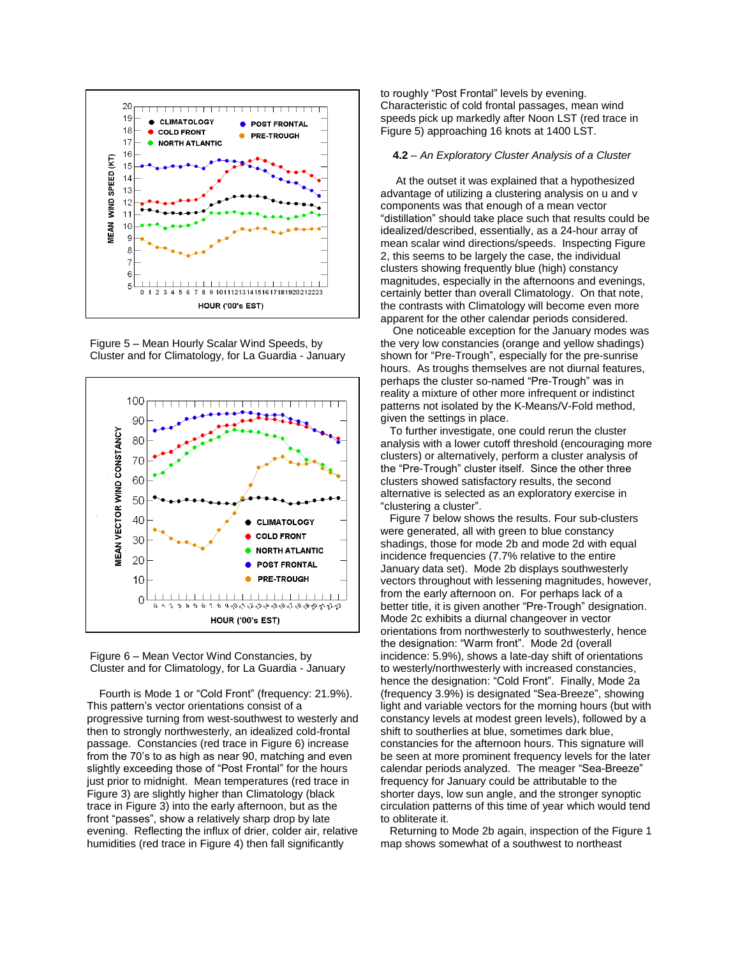

Figure 5 – Mean Hourly Scalar Wind Speeds, by Cluster and for Climatology, for La Guardia - January





 Fourth is Mode 1 or "Cold Front" (frequency: 21.9%). This pattern's vector orientations consist of a progressive turning from west-southwest to westerly and then to strongly northwesterly, an idealized cold-frontal passage. Constancies (red trace in Figure 6) increase from the 70's to as high as near 90, matching and even slightly exceeding those of "Post Frontal" for the hours just prior to midnight. Mean temperatures (red trace in Figure 3) are slightly higher than Climatology (black trace in Figure 3) into the early afternoon, but as the front "passes", show a relatively sharp drop by late evening. Reflecting the influx of drier, colder air, relative humidities (red trace in Figure 4) then fall significantly

to roughly "Post Frontal" levels by evening. Characteristic of cold frontal passages, mean wind speeds pick up markedly after Noon LST (red trace in Figure 5) approaching 16 knots at 1400 LST.

### **4.2** – *An Exploratory Cluster Analysis of a Cluster*

 At the outset it was explained that a hypothesized advantage of utilizing a clustering analysis on u and v components was that enough of a mean vector "distillation" should take place such that results could be idealized/described, essentially, as a 24-hour array of mean scalar wind directions/speeds. Inspecting Figure 2, this seems to be largely the case, the individual clusters showing frequently blue (high) constancy magnitudes, especially in the afternoons and evenings, certainly better than overall Climatology. On that note, the contrasts with Climatology will become even more apparent for the other calendar periods considered.

 One noticeable exception for the January modes was the very low constancies (orange and yellow shadings) shown for "Pre-Trough", especially for the pre-sunrise hours. As troughs themselves are not diurnal features, perhaps the cluster so-named "Pre-Trough" was in reality a mixture of other more infrequent or indistinct patterns not isolated by the K-Means/V-Fold method, given the settings in place.

 To further investigate, one could rerun the cluster analysis with a lower cutoff threshold (encouraging more clusters) or alternatively, perform a cluster analysis of the "Pre-Trough" cluster itself. Since the other three clusters showed satisfactory results, the second alternative is selected as an exploratory exercise in "clustering a cluster".

Figure 7 below shows the results. Four sub-clusters were generated, all with green to blue constancy shadings, those for mode 2b and mode 2d with equal incidence frequencies (7.7% relative to the entire January data set). Mode 2b displays southwesterly vectors throughout with lessening magnitudes, however, from the early afternoon on. For perhaps lack of a better title, it is given another "Pre-Trough" designation. Mode 2c exhibits a diurnal changeover in vector orientations from northwesterly to southwesterly, hence the designation: "Warm front". Mode 2d (overall incidence: 5.9%), shows a late-day shift of orientations to westerly/northwesterly with increased constancies, hence the designation: "Cold Front". Finally, Mode 2a (frequency 3.9%) is designated "Sea-Breeze", showing light and variable vectors for the morning hours (but with constancy levels at modest green levels), followed by a shift to southerlies at blue, sometimes dark blue, constancies for the afternoon hours. This signature will be seen at more prominent frequency levels for the later calendar periods analyzed. The meager "Sea-Breeze" frequency for January could be attributable to the shorter days, low sun angle, and the stronger synoptic circulation patterns of this time of year which would tend to obliterate it.

 Returning to Mode 2b again, inspection of the Figure 1 map shows somewhat of a southwest to northeast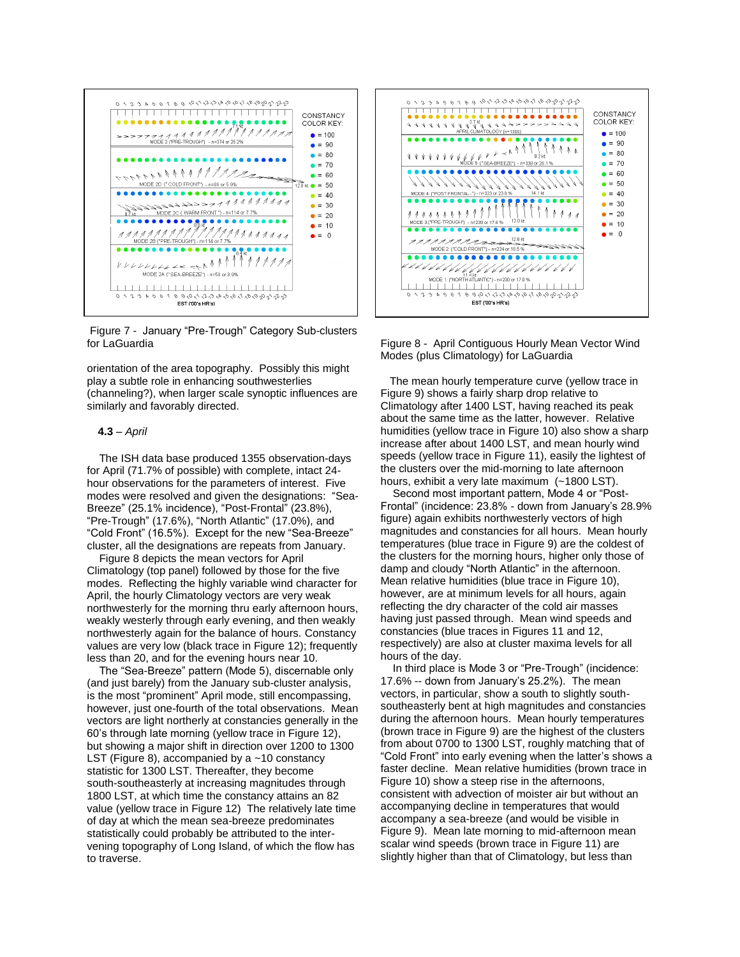

Figure 7 - January "Pre-Trough" Category Sub-clusters for LaGuardia

orientation of the area topography. Possibly this might play a subtle role in enhancing southwesterlies (channeling?), when larger scale synoptic influences are similarly and favorably directed.

## **4.3** – *April*

 The ISH data base produced 1355 observation-days for April (71.7% of possible) with complete, intact 24 hour observations for the parameters of interest. Five modes were resolved and given the designations: "Sea-Breeze" (25.1% incidence), "Post-Frontal" (23.8%), "Pre-Trough" (17.6%), "North Atlantic" (17.0%), and "Cold Front" (16.5%). Except for the new "Sea-Breeze" cluster, all the designations are repeats from January.

 Figure 8 depicts the mean vectors for April Climatology (top panel) followed by those for the five modes. Reflecting the highly variable wind character for April, the hourly Climatology vectors are very weak northwesterly for the morning thru early afternoon hours, weakly westerly through early evening, and then weakly northwesterly again for the balance of hours. Constancy values are very low (black trace in Figure 12); frequently less than 20, and for the evening hours near 10.

 The "Sea-Breeze" pattern (Mode 5), discernable only (and just barely) from the January sub-cluster analysis, is the most "prominent" April mode, still encompassing, however, just one-fourth of the total observations. Mean vectors are light northerly at constancies generally in the 60's through late morning (yellow trace in Figure 12), but showing a major shift in direction over 1200 to 1300 LST (Figure 8), accompanied by a ~10 constancy statistic for 1300 LST. Thereafter, they become south-southeasterly at increasing magnitudes through 1800 LST, at which time the constancy attains an 82 value (yellow trace in Figure 12) The relatively late time of day at which the mean sea-breeze predominates statistically could probably be attributed to the intervening topography of Long Island, of which the flow has to traverse.



Figure 8 - April Contiguous Hourly Mean Vector Wind Modes (plus Climatology) for LaGuardia

 The mean hourly temperature curve (yellow trace in Figure 9) shows a fairly sharp drop relative to Climatology after 1400 LST, having reached its peak about the same time as the latter, however. Relative humidities (yellow trace in Figure 10) also show a sharp increase after about 1400 LST, and mean hourly wind speeds (yellow trace in Figure 11), easily the lightest of the clusters over the mid-morning to late afternoon hours, exhibit a very late maximum (~1800 LST).

 Second most important pattern, Mode 4 or "Post-Frontal" (incidence: 23.8% - down from January's 28.9% figure) again exhibits northwesterly vectors of high magnitudes and constancies for all hours. Mean hourly temperatures (blue trace in Figure 9) are the coldest of the clusters for the morning hours, higher only those of damp and cloudy "North Atlantic" in the afternoon. Mean relative humidities (blue trace in Figure 10), however, are at minimum levels for all hours, again reflecting the dry character of the cold air masses having just passed through. Mean wind speeds and constancies (blue traces in Figures 11 and 12, respectively) are also at cluster maxima levels for all hours of the day.

 In third place is Mode 3 or "Pre-Trough" (incidence: 17.6% -- down from January's 25.2%). The mean vectors, in particular, show a south to slightly southsoutheasterly bent at high magnitudes and constancies during the afternoon hours. Mean hourly temperatures (brown trace in Figure 9) are the highest of the clusters from about 0700 to 1300 LST, roughly matching that of "Cold Front" into early evening when the latter's shows a faster decline. Mean relative humidities (brown trace in Figure 10) show a steep rise in the afternoons, consistent with advection of moister air but without an accompanying decline in temperatures that would accompany a sea-breeze (and would be visible in Figure 9). Mean late morning to mid-afternoon mean scalar wind speeds (brown trace in Figure 11) are slightly higher than that of Climatology, but less than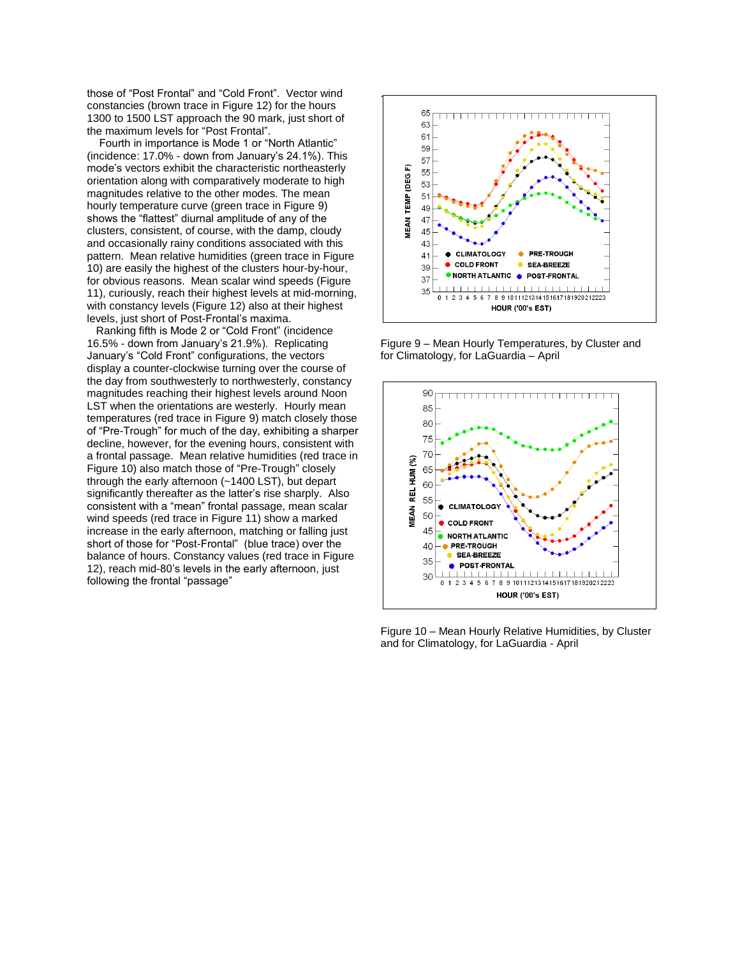those of "Post Frontal" and "Cold Front". Vector wind constancies (brown trace in Figure 12) for the hours 1300 to 1500 LST approach the 90 mark, just short of the maximum levels for "Post Frontal".

 Fourth in importance is Mode 1 or "North Atlantic" (incidence: 17.0% - down from January's 24.1%). This mode's vectors exhibit the characteristic northeasterly orientation along with comparatively moderate to high magnitudes relative to the other modes. The mean hourly temperature curve (green trace in Figure 9) shows the "flattest" diurnal amplitude of any of the clusters, consistent, of course, with the damp, cloudy and occasionally rainy conditions associated with this pattern. Mean relative humidities (green trace in Figure 10) are easily the highest of the clusters hour-by-hour, for obvious reasons. Mean scalar wind speeds (Figure 11), curiously, reach their highest levels at mid-morning, with constancy levels (Figure 12) also at their highest levels, just short of Post-Frontal's maxima.

 Ranking fifth is Mode 2 or "Cold Front" (incidence 16.5% - down from January's 21.9%). Replicating January's "Cold Front" configurations, the vectors display a counter-clockwise turning over the course of the day from southwesterly to northwesterly, constancy magnitudes reaching their highest levels around Noon LST when the orientations are westerly. Hourly mean temperatures (red trace in Figure 9) match closely those of "Pre-Trough" for much of the day, exhibiting a sharper decline, however, for the evening hours, consistent with a frontal passage. Mean relative humidities (red trace in Figure 10) also match those of "Pre-Trough" closely through the early afternoon (~1400 LST), but depart significantly thereafter as the latter's rise sharply. Also consistent with a "mean" frontal passage, mean scalar wind speeds (red trace in Figure 11) show a marked increase in the early afternoon, matching or falling just short of those for "Post-Frontal" (blue trace) over the balance of hours. Constancy values (red trace in Figure 12), reach mid-80's levels in the early afternoon, just following the frontal "passage"



Figure 9 – Mean Hourly Temperatures, by Cluster and for Climatology, for LaGuardia – April



Figure 10 – Mean Hourly Relative Humidities, by Cluster and for Climatology, for LaGuardia - April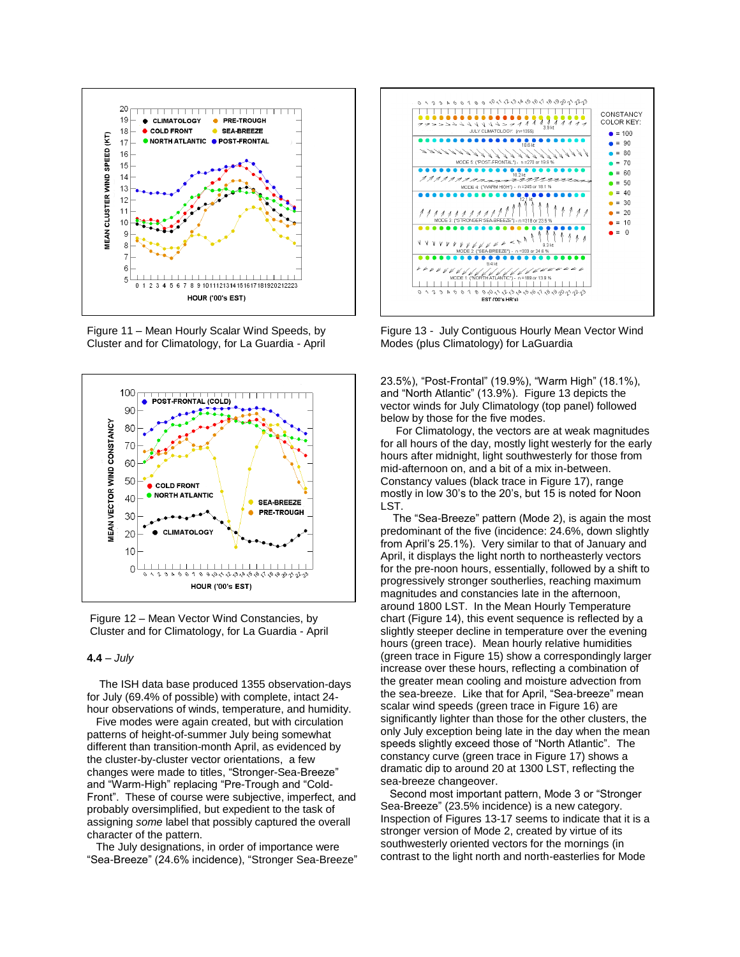

Figure 11 – Mean Hourly Scalar Wind Speeds, by Cluster and for Climatology, for La Guardia - April





## **4.4** – *July*

 The ISH data base produced 1355 observation-days for July (69.4% of possible) with complete, intact 24 hour observations of winds, temperature, and humidity.

 Five modes were again created, but with circulation patterns of height-of-summer July being somewhat different than transition-month April, as evidenced by the cluster-by-cluster vector orientations, a few changes were made to titles, "Stronger-Sea-Breeze" and "Warm-High" replacing "Pre-Trough and "Cold-Front". These of course were subjective, imperfect, and probably oversimplified, but expedient to the task of assigning *some* label that possibly captured the overall character of the pattern.

 The July designations, in order of importance were "Sea-Breeze" (24.6% incidence), "Stronger Sea-Breeze"



Figure 13 - July Contiguous Hourly Mean Vector Wind Modes (plus Climatology) for LaGuardia

23.5%), "Post-Frontal" (19.9%), "Warm High" (18.1%), and "North Atlantic" (13.9%). Figure 13 depicts the vector winds for July Climatology (top panel) followed below by those for the five modes.

 For Climatology, the vectors are at weak magnitudes for all hours of the day, mostly light westerly for the early hours after midnight, light southwesterly for those from mid-afternoon on, and a bit of a mix in-between. Constancy values (black trace in Figure 17), range mostly in low 30's to the 20's, but 15 is noted for Noon LST.

 The "Sea-Breeze" pattern (Mode 2), is again the most predominant of the five (incidence: 24.6%, down slightly from April's 25.1%). Very similar to that of January and April, it displays the light north to northeasterly vectors for the pre-noon hours, essentially, followed by a shift to progressively stronger southerlies, reaching maximum magnitudes and constancies late in the afternoon, around 1800 LST. In the Mean Hourly Temperature chart (Figure 14), this event sequence is reflected by a slightly steeper decline in temperature over the evening hours (green trace). Mean hourly relative humidities (green trace in Figure 15) show a correspondingly larger increase over these hours, reflecting a combination of the greater mean cooling and moisture advection from the sea-breeze. Like that for April, "Sea-breeze" mean scalar wind speeds (green trace in Figure 16) are significantly lighter than those for the other clusters, the only July exception being late in the day when the mean speeds slightly exceed those of "North Atlantic". The constancy curve (green trace in Figure 17) shows a dramatic dip to around 20 at 1300 LST, reflecting the sea-breeze changeover.

 Second most important pattern, Mode 3 or "Stronger Sea-Breeze" (23.5% incidence) is a new category. Inspection of Figures 13-17 seems to indicate that it is a stronger version of Mode 2, created by virtue of its southwesterly oriented vectors for the mornings (in contrast to the light north and north-easterlies for Mode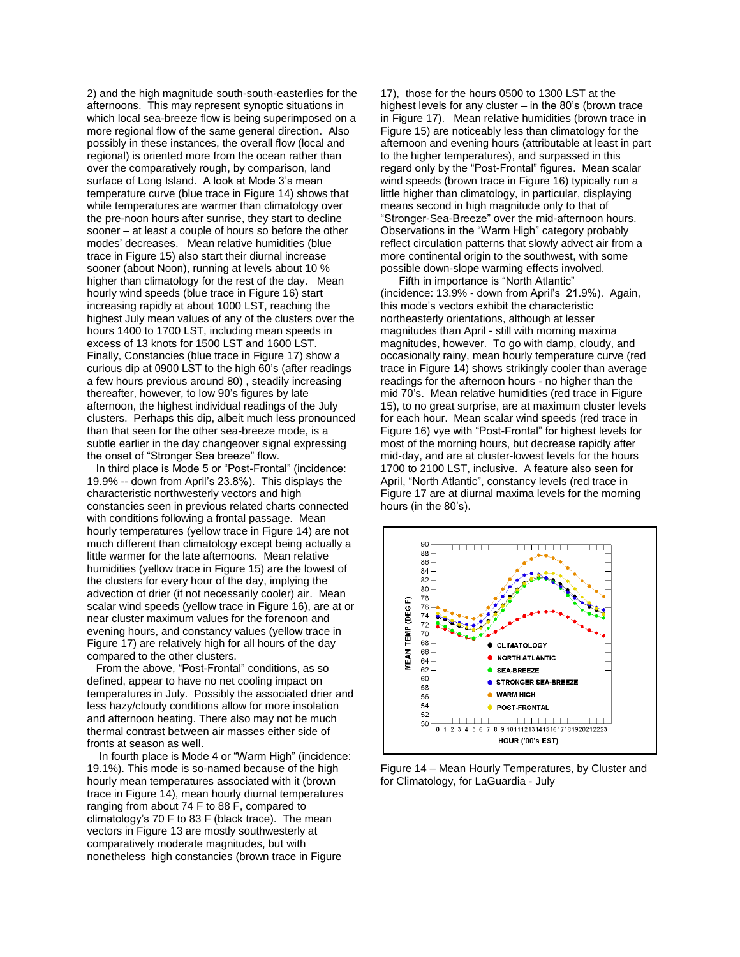2) and the high magnitude south-south-easterlies for the afternoons. This may represent synoptic situations in which local sea-breeze flow is being superimposed on a more regional flow of the same general direction. Also possibly in these instances, the overall flow (local and regional) is oriented more from the ocean rather than over the comparatively rough, by comparison, land surface of Long Island. A look at Mode 3's mean temperature curve (blue trace in Figure 14) shows that while temperatures are warmer than climatology over the pre-noon hours after sunrise, they start to decline sooner – at least a couple of hours so before the other modes' decreases. Mean relative humidities (blue trace in Figure 15) also start their diurnal increase sooner (about Noon), running at levels about 10 % higher than climatology for the rest of the day. Mean hourly wind speeds (blue trace in Figure 16) start increasing rapidly at about 1000 LST, reaching the highest July mean values of any of the clusters over the hours 1400 to 1700 LST, including mean speeds in excess of 13 knots for 1500 LST and 1600 LST. Finally, Constancies (blue trace in Figure 17) show a curious dip at 0900 LST to the high 60's (after readings a few hours previous around 80) , steadily increasing thereafter, however, to low 90's figures by late afternoon, the highest individual readings of the July clusters. Perhaps this dip, albeit much less pronounced than that seen for the other sea-breeze mode, is a subtle earlier in the day changeover signal expressing the onset of "Stronger Sea breeze" flow.

 In third place is Mode 5 or "Post-Frontal" (incidence: 19.9% -- down from April's 23.8%). This displays the characteristic northwesterly vectors and high constancies seen in previous related charts connected with conditions following a frontal passage. Mean hourly temperatures (yellow trace in Figure 14) are not much different than climatology except being actually a little warmer for the late afternoons. Mean relative humidities (yellow trace in Figure 15) are the lowest of the clusters for every hour of the day, implying the advection of drier (if not necessarily cooler) air. Mean scalar wind speeds (yellow trace in Figure 16), are at or near cluster maximum values for the forenoon and evening hours, and constancy values (yellow trace in Figure 17) are relatively high for all hours of the day compared to the other clusters.

From the above, "Post-Frontal" conditions, as so defined, appear to have no net cooling impact on temperatures in July. Possibly the associated drier and less hazy/cloudy conditions allow for more insolation and afternoon heating. There also may not be much thermal contrast between air masses either side of fronts at season as well.

 In fourth place is Mode 4 or "Warm High" (incidence: 19.1%). This mode is so-named because of the high hourly mean temperatures associated with it (brown trace in Figure 14), mean hourly diurnal temperatures ranging from about 74 F to 88 F, compared to climatology's 70 F to 83 F (black trace). The mean vectors in Figure 13 are mostly southwesterly at comparatively moderate magnitudes, but with nonetheless high constancies (brown trace in Figure

17), those for the hours 0500 to 1300 LST at the highest levels for any cluster – in the 80's (brown trace in Figure 17). Mean relative humidities (brown trace in Figure 15) are noticeably less than climatology for the afternoon and evening hours (attributable at least in part to the higher temperatures), and surpassed in this regard only by the "Post-Frontal" figures. Mean scalar wind speeds (brown trace in Figure 16) typically run a little higher than climatology, in particular, displaying means second in high magnitude only to that of "Stronger-Sea-Breeze" over the mid-afternoon hours. Observations in the "Warm High" category probably reflect circulation patterns that slowly advect air from a more continental origin to the southwest, with some possible down-slope warming effects involved.

 Fifth in importance is "North Atlantic" (incidence: 13.9% - down from April's 21.9%). Again, this mode's vectors exhibit the characteristic northeasterly orientations, although at lesser magnitudes than April - still with morning maxima magnitudes, however. To go with damp, cloudy, and occasionally rainy, mean hourly temperature curve (red trace in Figure 14) shows strikingly cooler than average readings for the afternoon hours - no higher than the mid 70's. Mean relative humidities (red trace in Figure 15), to no great surprise, are at maximum cluster levels for each hour. Mean scalar wind speeds (red trace in Figure 16) vye with "Post-Frontal" for highest levels for most of the morning hours, but decrease rapidly after mid-day, and are at cluster-lowest levels for the hours 1700 to 2100 LST, inclusive. A feature also seen for April, "North Atlantic", constancy levels (red trace in Figure 17 are at diurnal maxima levels for the morning hours (in the 80's).



Figure 14 – Mean Hourly Temperatures, by Cluster and for Climatology, for LaGuardia - July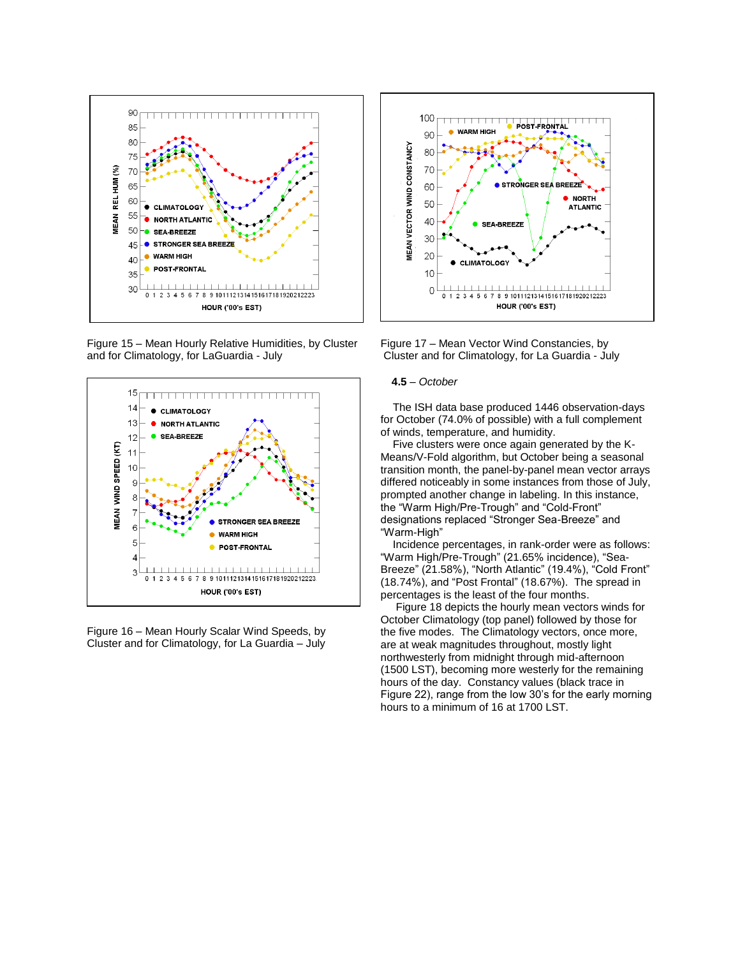

Figure 15 – Mean Hourly Relative Humidities, by Cluster and for Climatology, for LaGuardia - July



Figure 16 – Mean Hourly Scalar Wind Speeds, by Cluster and for Climatology, for La Guardia – July



Figure 17 – Mean Vector Wind Constancies, by Cluster and for Climatology, for La Guardia - July

#### **4.5** – *October*

 The ISH data base produced 1446 observation-days for October (74.0% of possible) with a full complement of winds, temperature, and humidity.

 Five clusters were once again generated by the K-Means/V-Fold algorithm, but October being a seasonal transition month, the panel-by-panel mean vector arrays differed noticeably in some instances from those of July, prompted another change in labeling. In this instance, the "Warm High/Pre-Trough" and "Cold-Front" designations replaced "Stronger Sea-Breeze" and "Warm-High"

 Incidence percentages, in rank-order were as follows: "Warm High/Pre-Trough" (21.65% incidence), "Sea-Breeze" (21.58%), "North Atlantic" (19.4%), "Cold Front" (18.74%), and "Post Frontal" (18.67%). The spread in percentages is the least of the four months.

 Figure 18 depicts the hourly mean vectors winds for October Climatology (top panel) followed by those for the five modes. The Climatology vectors, once more, are at weak magnitudes throughout, mostly light northwesterly from midnight through mid-afternoon (1500 LST), becoming more westerly for the remaining hours of the day. Constancy values (black trace in Figure 22), range from the low 30's for the early morning hours to a minimum of 16 at 1700 LST.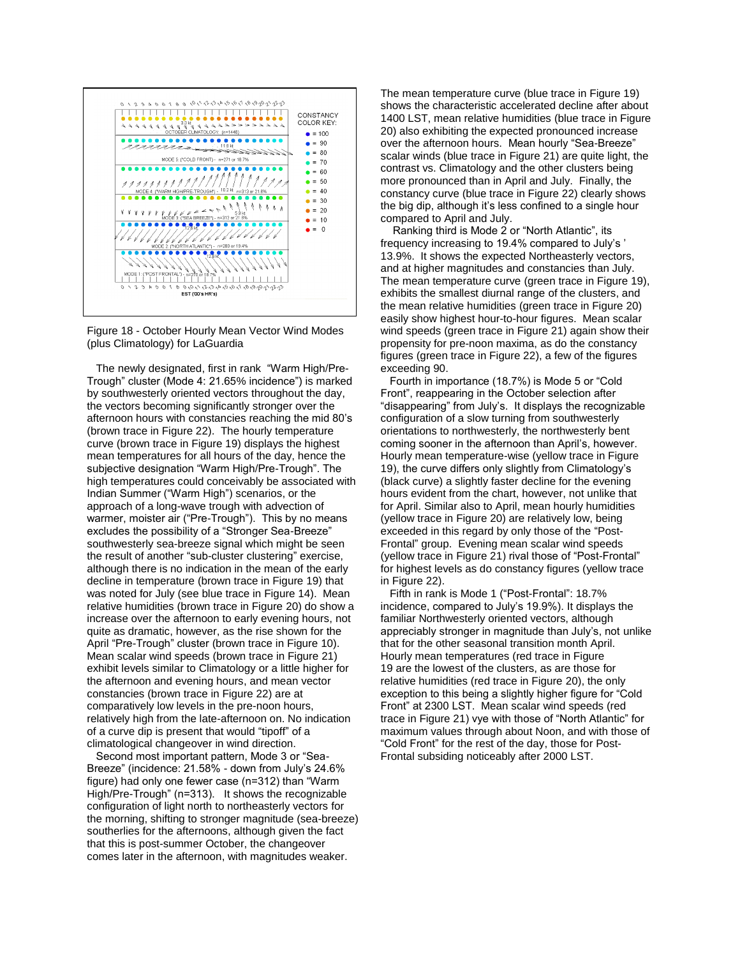

Figure 18 - October Hourly Mean Vector Wind Modes (plus Climatology) for LaGuardia

 The newly designated, first in rank "Warm High/Pre-Trough" cluster (Mode 4: 21.65% incidence") is marked by southwesterly oriented vectors throughout the day, the vectors becoming significantly stronger over the afternoon hours with constancies reaching the mid 80's (brown trace in Figure 22). The hourly temperature curve (brown trace in Figure 19) displays the highest mean temperatures for all hours of the day, hence the subjective designation "Warm High/Pre-Trough". The high temperatures could conceivably be associated with Indian Summer ("Warm High") scenarios, or the approach of a long-wave trough with advection of warmer, moister air ("Pre-Trough"). This by no means excludes the possibility of a "Stronger Sea-Breeze" southwesterly sea-breeze signal which might be seen the result of another "sub-cluster clustering" exercise, although there is no indication in the mean of the early decline in temperature (brown trace in Figure 19) that was noted for July (see blue trace in Figure 14). Mean relative humidities (brown trace in Figure 20) do show a increase over the afternoon to early evening hours, not quite as dramatic, however, as the rise shown for the April "Pre-Trough" cluster (brown trace in Figure 10). Mean scalar wind speeds (brown trace in Figure 21) exhibit levels similar to Climatology or a little higher for the afternoon and evening hours, and mean vector constancies (brown trace in Figure 22) are at comparatively low levels in the pre-noon hours, relatively high from the late-afternoon on. No indication of a curve dip is present that would "tipoff" of a climatological changeover in wind direction.

Second most important pattern, Mode 3 or "Sea-Breeze" (incidence: 21.58% - down from July's 24.6% figure) had only one fewer case (n=312) than "Warm High/Pre-Trough" (n=313). It shows the recognizable configuration of light north to northeasterly vectors for the morning, shifting to stronger magnitude (sea-breeze) southerlies for the afternoons, although given the fact that this is post-summer October, the changeover comes later in the afternoon, with magnitudes weaker.

The mean temperature curve (blue trace in Figure 19) shows the characteristic accelerated decline after about 1400 LST, mean relative humidities (blue trace in Figure 20) also exhibiting the expected pronounced increase over the afternoon hours. Mean hourly "Sea-Breeze" scalar winds (blue trace in Figure 21) are quite light, the contrast vs. Climatology and the other clusters being more pronounced than in April and July. Finally, the constancy curve (blue trace in Figure 22) clearly shows the big dip, although it's less confined to a single hour compared to April and July.

 Ranking third is Mode 2 or "North Atlantic", its frequency increasing to 19.4% compared to July's ' 13.9%. It shows the expected Northeasterly vectors, and at higher magnitudes and constancies than July. The mean temperature curve (green trace in Figure 19), exhibits the smallest diurnal range of the clusters, and the mean relative humidities (green trace in Figure 20) easily show highest hour-to-hour figures. Mean scalar wind speeds (green trace in Figure 21) again show their propensity for pre-noon maxima, as do the constancy figures (green trace in Figure 22), a few of the figures exceeding 90.

 Fourth in importance (18.7%) is Mode 5 or "Cold Front", reappearing in the October selection after "disappearing" from July's. It displays the recognizable configuration of a slow turning from southwesterly orientations to northwesterly, the northwesterly bent coming sooner in the afternoon than April's, however. Hourly mean temperature-wise (yellow trace in Figure 19), the curve differs only slightly from Climatology's (black curve) a slightly faster decline for the evening hours evident from the chart, however, not unlike that for April. Similar also to April, mean hourly humidities (yellow trace in Figure 20) are relatively low, being exceeded in this regard by only those of the "Post-Frontal" group. Evening mean scalar wind speeds (yellow trace in Figure 21) rival those of "Post-Frontal" for highest levels as do constancy figures (yellow trace in Figure 22).

 Fifth in rank is Mode 1 ("Post-Frontal": 18.7% incidence, compared to July's 19.9%). It displays the familiar Northwesterly oriented vectors, although appreciably stronger in magnitude than July's, not unlike that for the other seasonal transition month April. Hourly mean temperatures (red trace in Figure 19 are the lowest of the clusters, as are those for relative humidities (red trace in Figure 20), the only exception to this being a slightly higher figure for "Cold Front" at 2300 LST. Mean scalar wind speeds (red trace in Figure 21) vye with those of "North Atlantic" for maximum values through about Noon, and with those of "Cold Front" for the rest of the day, those for Post-Frontal subsiding noticeably after 2000 LST.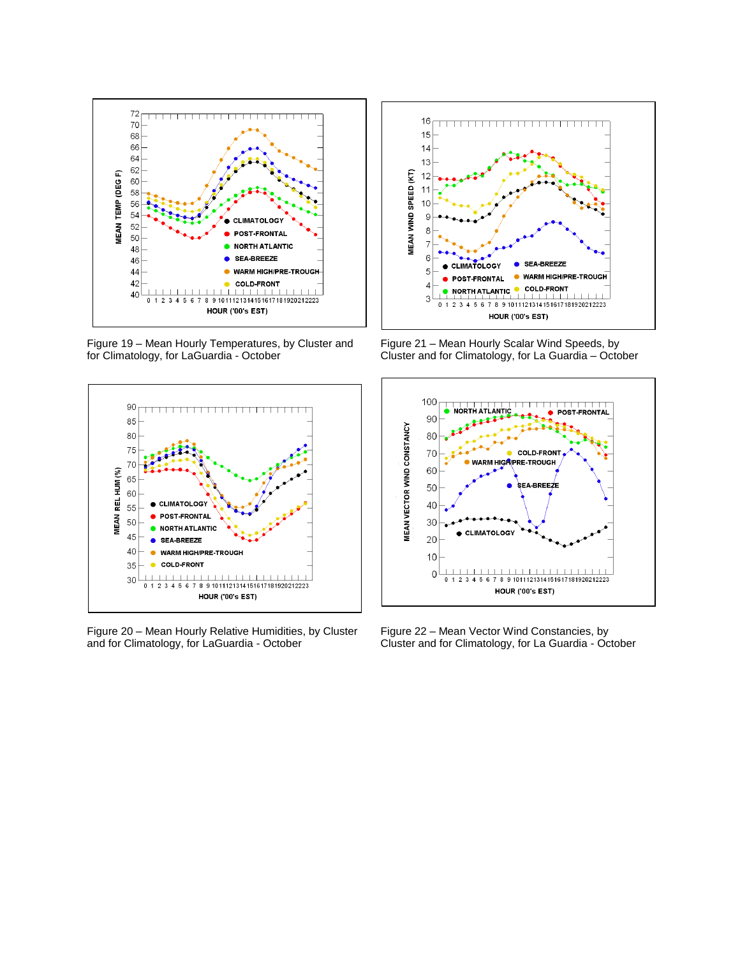

Figure 19 – Mean Hourly Temperatures, by Cluster and for Climatology, for LaGuardia - October



Figure 20 – Mean Hourly Relative Humidities, by Cluster and for Climatology, for LaGuardia - October



Figure 21 – Mean Hourly Scalar Wind Speeds, by Cluster and for Climatology, for La Guardia – October



Figure 22 – Mean Vector Wind Constancies, by Cluster and for Climatology, for La Guardia - October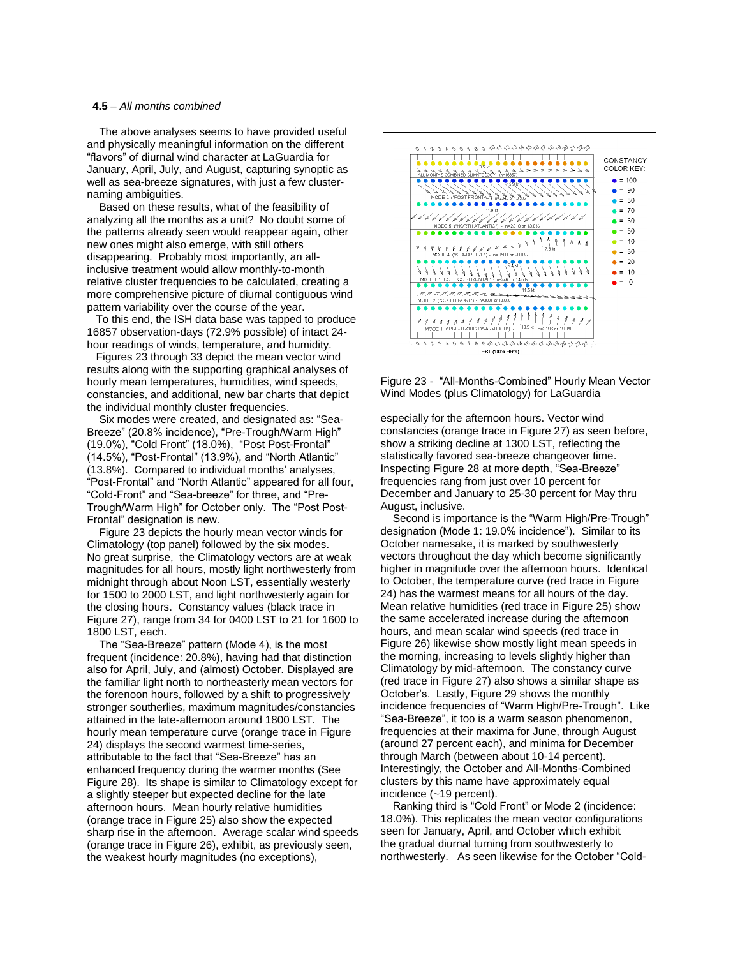#### **4.5** – *All months combined*

The above analyses seems to have provided useful and physically meaningful information on the different "flavors" of diurnal wind character at LaGuardia for January, April, July, and August, capturing synoptic as well as sea-breeze signatures, with just a few clusternaming ambiguities.

 Based on these results, what of the feasibility of analyzing all the months as a unit? No doubt some of the patterns already seen would reappear again, other new ones might also emerge, with still others disappearing. Probably most importantly, an allinclusive treatment would allow monthly-to-month relative cluster frequencies to be calculated, creating a more comprehensive picture of diurnal contiguous wind pattern variability over the course of the year.

 To this end, the ISH data base was tapped to produce 16857 observation-days (72.9% possible) of intact 24 hour readings of winds, temperature, and humidity.

 Figures 23 through 33 depict the mean vector wind results along with the supporting graphical analyses of hourly mean temperatures, humidities, wind speeds, constancies, and additional, new bar charts that depict the individual monthly cluster frequencies.

 Six modes were created, and designated as: "Sea-Breeze" (20.8% incidence), "Pre-Trough/Warm High" (19.0%), "Cold Front" (18.0%), "Post Post-Frontal" (14.5%), "Post-Frontal" (13.9%), and "North Atlantic" (13.8%). Compared to individual months' analyses, "Post-Frontal" and "North Atlantic" appeared for all four, "Cold-Front" and "Sea-breeze" for three, and "Pre-Trough/Warm High" for October only. The "Post Post-Frontal" designation is new.

 Figure 23 depicts the hourly mean vector winds for Climatology (top panel) followed by the six modes. No great surprise, the Climatology vectors are at weak magnitudes for all hours, mostly light northwesterly from midnight through about Noon LST, essentially westerly for 1500 to 2000 LST, and light northwesterly again for the closing hours. Constancy values (black trace in Figure 27), range from 34 for 0400 LST to 21 for 1600 to 1800 LST, each.

 The "Sea-Breeze" pattern (Mode 4), is the most frequent (incidence: 20.8%), having had that distinction also for April, July, and (almost) October. Displayed are the familiar light north to northeasterly mean vectors for the forenoon hours, followed by a shift to progressively stronger southerlies, maximum magnitudes/constancies attained in the late-afternoon around 1800 LST. The hourly mean temperature curve (orange trace in Figure 24) displays the second warmest time-series, attributable to the fact that "Sea-Breeze" has an enhanced frequency during the warmer months (See Figure 28). Its shape is similar to Climatology except for a slightly steeper but expected decline for the late afternoon hours. Mean hourly relative humidities (orange trace in Figure 25) also show the expected sharp rise in the afternoon. Average scalar wind speeds (orange trace in Figure 26), exhibit, as previously seen, the weakest hourly magnitudes (no exceptions),



Figure 23 - "All-Months-Combined" Hourly Mean Vector Wind Modes (plus Climatology) for LaGuardia

especially for the afternoon hours. Vector wind constancies (orange trace in Figure 27) as seen before, show a striking decline at 1300 LST, reflecting the statistically favored sea-breeze changeover time. Inspecting Figure 28 at more depth, "Sea-Breeze" frequencies rang from just over 10 percent for December and January to 25-30 percent for May thru August, inclusive.

 Second is importance is the "Warm High/Pre-Trough" designation (Mode 1: 19.0% incidence"). Similar to its October namesake, it is marked by southwesterly vectors throughout the day which become significantly higher in magnitude over the afternoon hours. Identical to October, the temperature curve (red trace in Figure 24) has the warmest means for all hours of the day. Mean relative humidities (red trace in Figure 25) show the same accelerated increase during the afternoon hours, and mean scalar wind speeds (red trace in Figure 26) likewise show mostly light mean speeds in the morning, increasing to levels slightly higher than Climatology by mid-afternoon. The constancy curve (red trace in Figure 27) also shows a similar shape as October's. Lastly, Figure 29 shows the monthly incidence frequencies of "Warm High/Pre-Trough". Like "Sea-Breeze", it too is a warm season phenomenon, frequencies at their maxima for June, through August (around 27 percent each), and minima for December through March (between about 10-14 percent). Interestingly, the October and All-Months-Combined clusters by this name have approximately equal incidence (~19 percent).

 Ranking third is "Cold Front" or Mode 2 (incidence: 18.0%). This replicates the mean vector configurations seen for January, April, and October which exhibit the gradual diurnal turning from southwesterly to northwesterly. As seen likewise for the October "Cold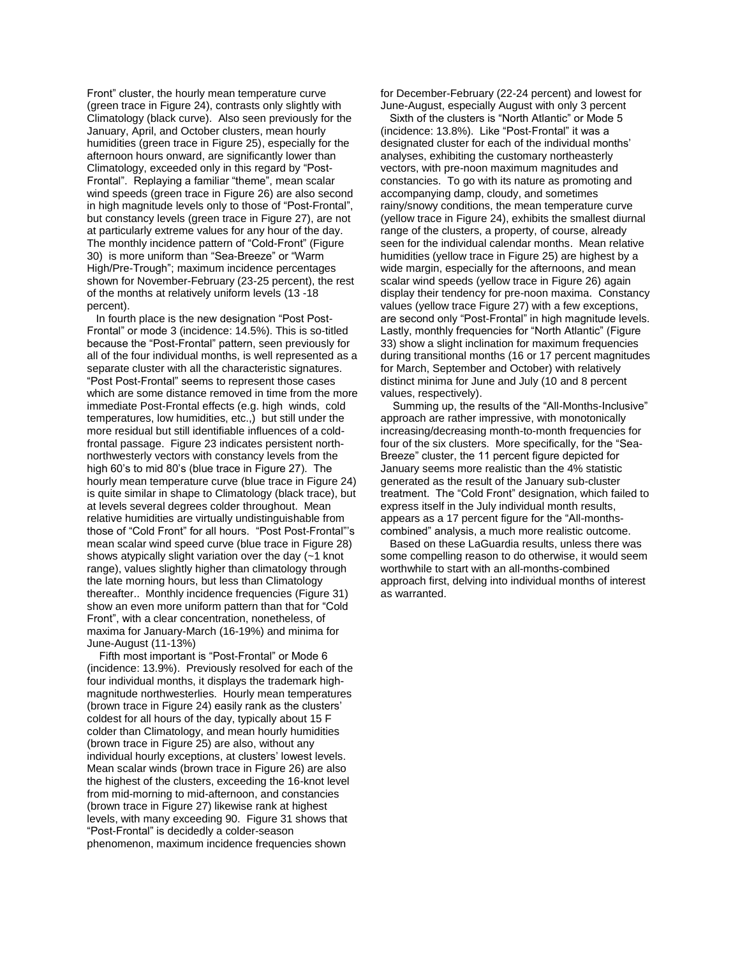Front" cluster, the hourly mean temperature curve (green trace in Figure 24), contrasts only slightly with Climatology (black curve). Also seen previously for the January, April, and October clusters, mean hourly humidities (green trace in Figure 25), especially for the afternoon hours onward, are significantly lower than Climatology, exceeded only in this regard by "Post-Frontal". Replaying a familiar "theme", mean scalar wind speeds (green trace in Figure 26) are also second in high magnitude levels only to those of "Post-Frontal", but constancy levels (green trace in Figure 27), are not at particularly extreme values for any hour of the day. The monthly incidence pattern of "Cold-Front" (Figure 30) is more uniform than "Sea-Breeze" or "Warm High/Pre-Trough"; maximum incidence percentages shown for November-February (23-25 percent), the rest of the months at relatively uniform levels (13 -18 percent).

 In fourth place is the new designation "Post Post-Frontal" or mode 3 (incidence: 14.5%). This is so-titled because the "Post-Frontal" pattern, seen previously for all of the four individual months, is well represented as a separate cluster with all the characteristic signatures. "Post Post-Frontal" seems to represent those cases which are some distance removed in time from the more immediate Post-Frontal effects (e.g. high winds, cold temperatures, low humidities, etc.,) but still under the more residual but still identifiable influences of a coldfrontal passage. Figure 23 indicates persistent northnorthwesterly vectors with constancy levels from the high 60's to mid 80's (blue trace in Figure 27). The hourly mean temperature curve (blue trace in Figure 24) is quite similar in shape to Climatology (black trace), but at levels several degrees colder throughout. Mean relative humidities are virtually undistinguishable from those of "Cold Front" for all hours. "Post Post-Frontal"'s mean scalar wind speed curve (blue trace in Figure 28) shows atypically slight variation over the day (~1 knot range), values slightly higher than climatology through the late morning hours, but less than Climatology thereafter.. Monthly incidence frequencies (Figure 31) show an even more uniform pattern than that for "Cold Front", with a clear concentration, nonetheless, of maxima for January-March (16-19%) and minima for June-August (11-13%)

 Fifth most important is "Post-Frontal" or Mode 6 (incidence: 13.9%). Previously resolved for each of the four individual months, it displays the trademark highmagnitude northwesterlies. Hourly mean temperatures (brown trace in Figure 24) easily rank as the clusters' coldest for all hours of the day, typically about 15 F colder than Climatology, and mean hourly humidities (brown trace in Figure 25) are also, without any individual hourly exceptions, at clusters' lowest levels. Mean scalar winds (brown trace in Figure 26) are also the highest of the clusters, exceeding the 16-knot level from mid-morning to mid-afternoon, and constancies (brown trace in Figure 27) likewise rank at highest levels, with many exceeding 90. Figure 31 shows that "Post-Frontal" is decidedly a colder-season phenomenon, maximum incidence frequencies shown

for December-February (22-24 percent) and lowest for June-August, especially August with only 3 percent

 Sixth of the clusters is "North Atlantic" or Mode 5 (incidence: 13.8%). Like "Post-Frontal" it was a designated cluster for each of the individual months' analyses, exhibiting the customary northeasterly vectors, with pre-noon maximum magnitudes and constancies. To go with its nature as promoting and accompanying damp, cloudy, and sometimes rainy/snowy conditions, the mean temperature curve (yellow trace in Figure 24), exhibits the smallest diurnal range of the clusters, a property, of course, already seen for the individual calendar months. Mean relative humidities (yellow trace in Figure 25) are highest by a wide margin, especially for the afternoons, and mean scalar wind speeds (yellow trace in Figure 26) again display their tendency for pre-noon maxima. Constancy values (yellow trace Figure 27) with a few exceptions, are second only "Post-Frontal" in high magnitude levels. Lastly, monthly frequencies for "North Atlantic" (Figure 33) show a slight inclination for maximum frequencies during transitional months (16 or 17 percent magnitudes for March, September and October) with relatively distinct minima for June and July (10 and 8 percent values, respectively).

 Summing up, the results of the "All-Months-Inclusive" approach are rather impressive, with monotonically increasing/decreasing month-to-month frequencies for four of the six clusters. More specifically, for the "Sea-Breeze" cluster, the 11 percent figure depicted for January seems more realistic than the 4% statistic generated as the result of the January sub-cluster treatment. The "Cold Front" designation, which failed to express itself in the July individual month results, appears as a 17 percent figure for the "All-monthscombined" analysis, a much more realistic outcome.

 Based on these LaGuardia results, unless there was some compelling reason to do otherwise, it would seem worthwhile to start with an all-months-combined approach first, delving into individual months of interest as warranted.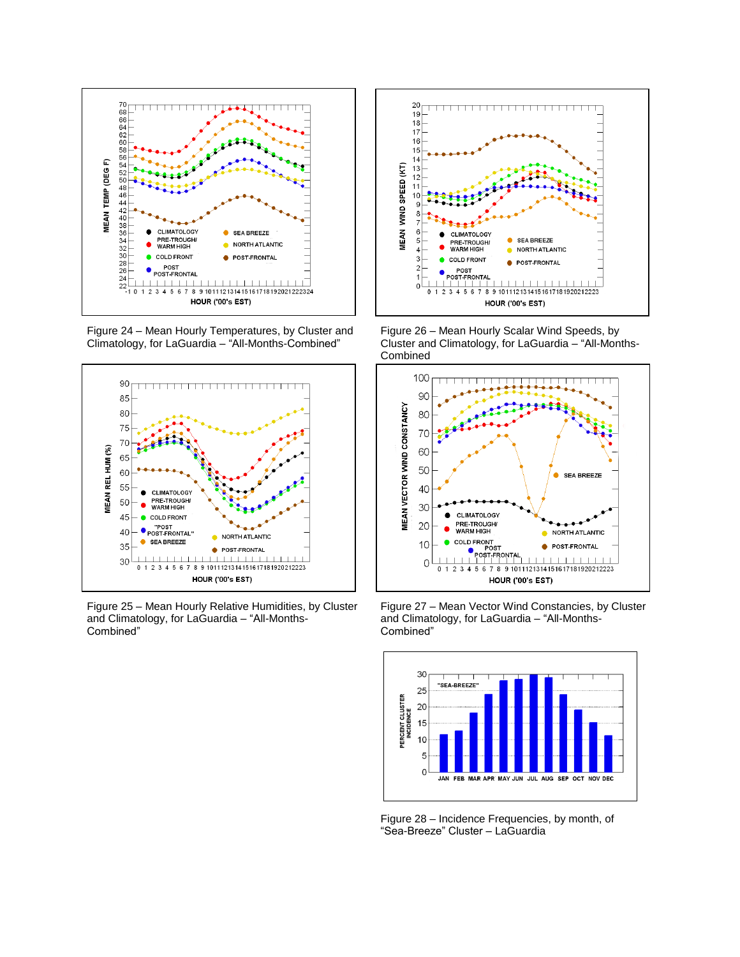

Figure 24 – Mean Hourly Temperatures, by Cluster and Climatology, for LaGuardia – "All-Months-Combined"



Figure 25 – Mean Hourly Relative Humidities, by Cluster and Climatology, for LaGuardia – "All-Months-Combined"



Figure 26 – Mean Hourly Scalar Wind Speeds, by Cluster and Climatology, for LaGuardia – "All-Months-Combined



Figure 27 – Mean Vector Wind Constancies, by Cluster and Climatology, for LaGuardia – "All-Months-Combined"



Figure 28 – Incidence Frequencies, by month, of "Sea-Breeze" Cluster – LaGuardia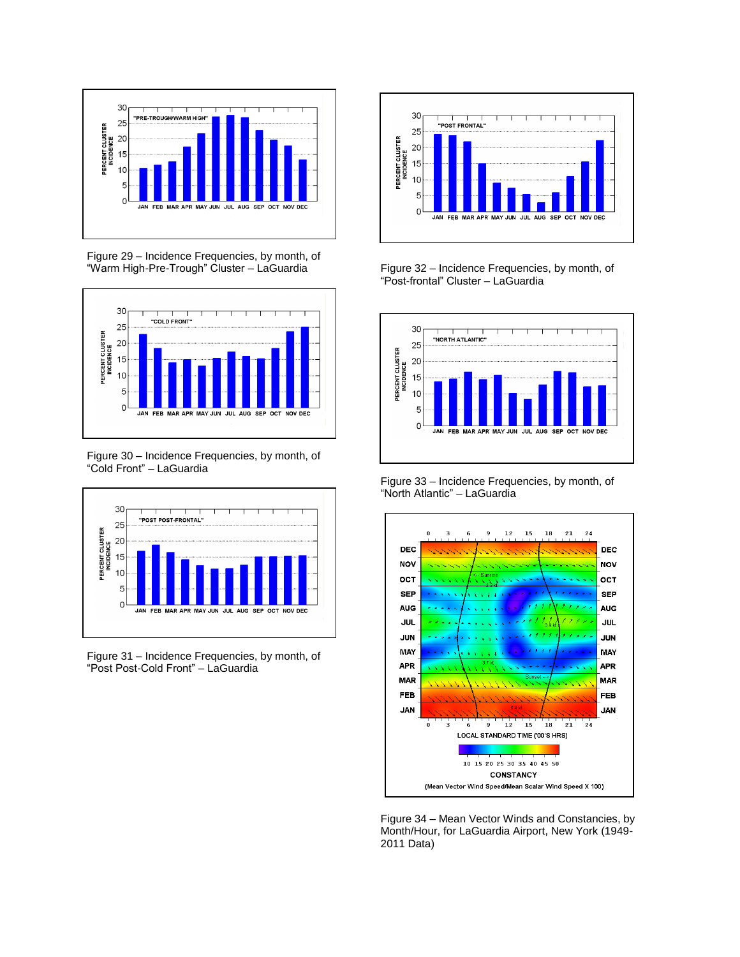

Figure 29 – Incidence Frequencies, by month, of "Warm High-Pre-Trough" Cluster – LaGuardia



Figure 30 – Incidence Frequencies, by month, of "Cold Front" – LaGuardia



Figure 31 – Incidence Frequencies, by month, of "Post Post-Cold Front" – LaGuardia



Figure 32 – Incidence Frequencies, by month, of "Post-frontal" Cluster – LaGuardia



Figure 33 – Incidence Frequencies, by month, of "North Atlantic" – LaGuardia



Figure 34 – Mean Vector Winds and Constancies, by Month/Hour, for LaGuardia Airport, New York (1949- 2011 Data)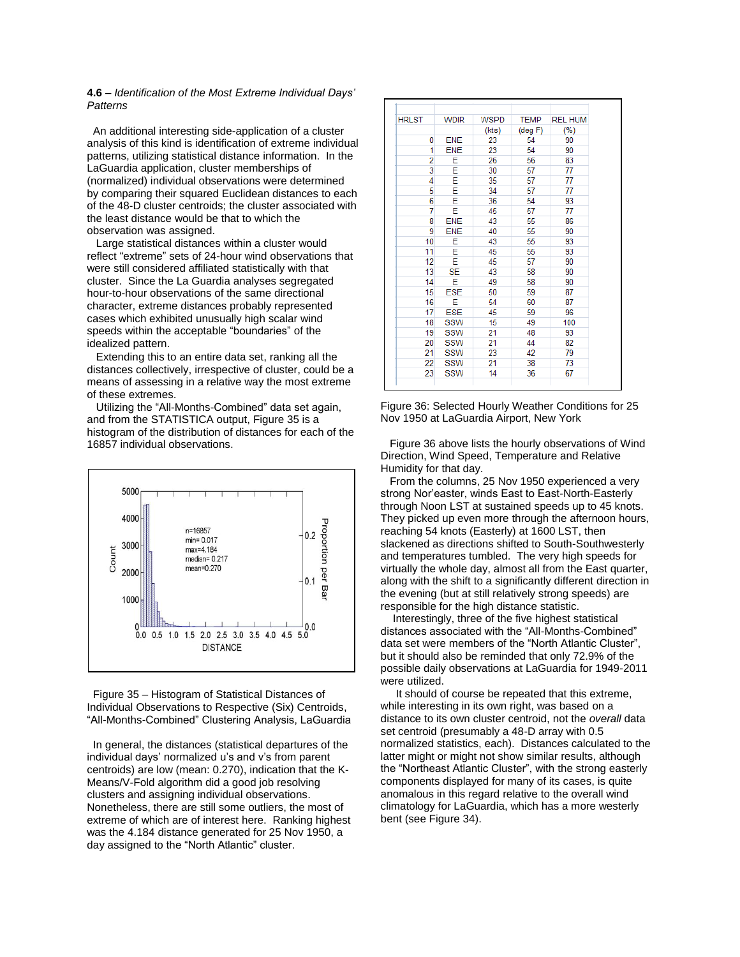## **4.6** – *Identification of the Most Extreme Individual Days' Patterns*

 An additional interesting side-application of a cluster analysis of this kind is identification of extreme individual patterns, utilizing statistical distance information. In the LaGuardia application, cluster memberships of (normalized) individual observations were determined by comparing their squared Euclidean distances to each of the 48-D cluster centroids; the cluster associated with the least distance would be that to which the observation was assigned.

 Large statistical distances within a cluster would reflect "extreme" sets of 24-hour wind observations that were still considered affiliated statistically with that cluster. Since the La Guardia analyses segregated hour-to-hour observations of the same directional character, extreme distances probably represented cases which exhibited unusually high scalar wind speeds within the acceptable "boundaries" of the idealized pattern.

Extending this to an entire data set, ranking all the distances collectively, irrespective of cluster, could be a means of assessing in a relative way the most extreme of these extremes.

 Utilizing the "All-Months-Combined" data set again, and from the STATISTICA output, Figure 35 is a histogram of the distribution of distances for each of the 16857 individual observations.



 Figure 35 – Histogram of Statistical Distances of Individual Observations to Respective (Six) Centroids, "All-Months-Combined" Clustering Analysis, LaGuardia

 In general, the distances (statistical departures of the individual days' normalized u's and v's from parent centroids) are low (mean: 0.270), indication that the K-Means/V-Fold algorithm did a good job resolving clusters and assigning individual observations. Nonetheless, there are still some outliers, the most of extreme of which are of interest here. Ranking highest was the 4.184 distance generated for 25 Nov 1950, a day assigned to the "North Atlantic" cluster.

| <b>HRLST</b> | <b>WDIR</b> | <b>WSPD</b> | <b>TEMP</b>       | <b>REL HUM</b> |
|--------------|-------------|-------------|-------------------|----------------|
|              |             | (kts)       | $(\text{deg } F)$ | (%)            |
| 0            | <b>ENE</b>  | 23          | 54                | 90             |
| 1            | <b>ENE</b>  | 23          | 54                | 90             |
| 2            | Ε           | 26          | 56                | 83             |
| 3            | E           | 30          | 57                | 77             |
| 4            | E           | 35          | 57                | 77             |
| 5            | E           | 34          | 57                | 77             |
| 6            | E           | 36          | 54                | 93             |
| 7            | E           | 45          | 57                | 77             |
| 8            | <b>ENE</b>  | 43          | 55                | 86             |
| 9            | <b>ENE</b>  | 40          | 55                | 90             |
| 10           | E           | 43          | 55                | 93             |
| 11           | E           | 45          | 55                | 93             |
| 12           | E           | 45          | 57                | 90             |
| 13           | <b>SE</b>   | 43          | 58                | 90             |
| 14           | Е           | 49          | 58                | 90             |
| 15           | <b>ESE</b>  | 50          | 59                | 87             |
| 16           | E           | 54          | 60                | 87             |
| 17           | <b>ESE</b>  | 45          | 59                | 96             |
| 18           | <b>SSW</b>  | 15          | 49                | 100            |
| 19           | SSW         | 21          | 48                | 93             |
| 20           | <b>SSW</b>  | 21          | 44                | 82             |
| 21           | SSW         | 23          | 42                | 79             |
| 22           | <b>SSW</b>  | 21          | 38                | 73             |
| 23           | <b>SSW</b>  | 14          | 36                | 67             |

Figure 36: Selected Hourly Weather Conditions for 25 Nov 1950 at LaGuardia Airport, New York

 Figure 36 above lists the hourly observations of Wind Direction, Wind Speed, Temperature and Relative Humidity for that day.

 From the columns, 25 Nov 1950 experienced a very strong Nor'easter, winds East to East-North-Easterly through Noon LST at sustained speeds up to 45 knots. They picked up even more through the afternoon hours, reaching 54 knots (Easterly) at 1600 LST, then slackened as directions shifted to South-Southwesterly and temperatures tumbled. The very high speeds for virtually the whole day, almost all from the East quarter, along with the shift to a significantly different direction in the evening (but at still relatively strong speeds) are responsible for the high distance statistic.

 Interestingly, three of the five highest statistical distances associated with the "All-Months-Combined" data set were members of the "North Atlantic Cluster", but it should also be reminded that only 72.9% of the possible daily observations at LaGuardia for 1949-2011 were utilized.

 It should of course be repeated that this extreme, while interesting in its own right, was based on a distance to its own cluster centroid, not the *overall* data set centroid (presumably a 48-D array with 0.5 normalized statistics, each). Distances calculated to the latter might or might not show similar results, although the "Northeast Atlantic Cluster", with the strong easterly components displayed for many of its cases, is quite anomalous in this regard relative to the overall wind climatology for LaGuardia, which has a more westerly bent (see Figure 34).